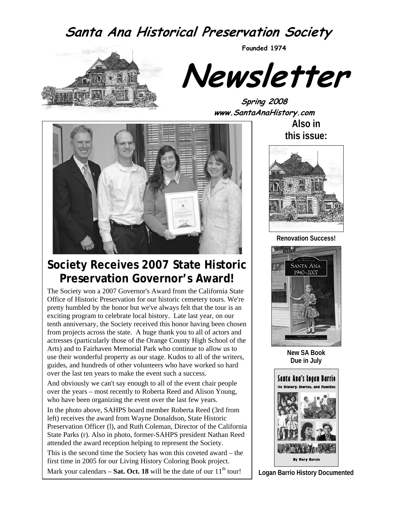# **Santa Ana Historical Preservation Society**



**Newsletter** 

**Founded 1974** 

**Spring 2008 www.SantaAnaHistory.com** 



# **Society Receives 2007 State Historic Preservation Governor's Award!**

The Society won a 2007 Governor's Award from the California State Office of Historic Preservation for our historic cemetery tours. We're pretty humbled by the honor but we've always felt that the tour is an exciting program to celebrate local history. Late last year, on our tenth anniversary, the Society received this honor having been chosen from projects across the state. A huge thank you to all of actors and actresses (particularly those of the Orange County High School of the Arts) and to Fairhaven Memorial Park who continue to allow us to use their wonderful property as our stage. Kudos to all of the writers, guides, and hundreds of other volunteers who have worked so hard over the last ten years to make the event such a success.

And obviously we can't say enough to all of the event chair people over the years – most recently to Roberta Reed and Alison Young, who have been organizing the event over the last few years.

In the photo above, SAHPS board member Roberta Reed (3rd from left) receives the award from Wayne Donaldson, State Historic Preservation Officer (l), and Ruth Coleman, Director of the California State Parks (r). Also in photo, former-SAHPS president Nathan Reed attended the award reception helping to represent the Society.

This is the second time the Society has won this coveted award – the first time in 2005 for our Living History Coloring Book project.

Mark your calendars – **Sat. Oct. 18** will be the date of our  $11<sup>th</sup>$  tour!

**Also in this issue:** 



**Renovation Success!** 



**New SA Book Due in July** 



**Logan Barrio History Documented**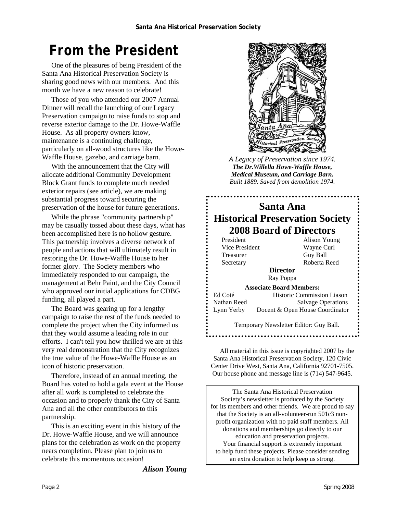# *From the President*

One of the pleasures of being President of the Santa Ana Historical Preservation Society is sharing good news with our members. And this month we have a new reason to celebrate!

Those of you who attended our 2007 Annual Dinner will recall the launching of our Legacy Preservation campaign to raise funds to stop and reverse exterior damage to the Dr. Howe-Waffle House. As all property owners know, maintenance is a continuing challenge, particularly on all-wood structures like the Howe-Waffle House, gazebo, and carriage barn.

With the announcement that the City will allocate additional Community Development Block Grant funds to complete much needed exterior repairs (see article), we are making substantial progress toward securing the preservation of the house for future generations.

While the phrase "community partnership" may be casually tossed about these days, what has been accomplished here is no hollow gesture. This partnership involves a diverse network of people and actions that will ultimately result in restoring the Dr. Howe-Waffle House to her former glory. The Society members who immediately responded to our campaign, the management at Behr Paint, and the City Council who approved our initial applications for CDBG funding, all played a part.

The Board was gearing up for a lengthy campaign to raise the rest of the funds needed to complete the project when the City informed us that they would assume a leading role in our efforts. I can't tell you how thrilled we are at this very real demonstration that the City recognizes the true value of the Howe-Waffle House as an icon of historic preservation.

Therefore, instead of an annual meeting, the Board has voted to hold a gala event at the House after all work is completed to celebrate the occasion and to properly thank the City of Santa Ana and all the other contributors to this partnership.

This is an exciting event in this history of the Dr. Howe-Waffle House, and we will announce plans for the celebration as work on the property nears completion. Please plan to join us to celebrate this momentous occasion!

*Alison Young* 



*A Legacy of Preservation since 1974. The Dr.Willella Howe-Waffle House, Medical Museum, and Carriage Barn. Built 1889. Saved from demolition 1974.* 

### **Santa Ana Historical Preservation Society 2008 Board of Directors**

Vice President Wayne Curl Treasurer Guy Ball

President Alison Young Secretary Roberta Reed

**Director**  Ray Poppa

**Associate Board Members:**  Ed Coté Historic Commission Liason Nathan Reed Salvage Operations Lynn Yerby Docent & Open House Coordinator

> Temporary Newsletter Editor: Guy Ball.

All material in this issue is copyrighted 2007 by the Santa Ana Historical Preservation Society, 120 Civic Center Drive West, Santa Ana, California 92701-7505. Our house phone and message line is (714) 547-9645.

The Santa Ana Historical Preservation Society's newsletter is produced by the Society for its members and other friends. We are proud to say that the Society is an all-volunteer-run 501c3 nonprofit organization with no paid staff members. All donations and memberships go directly to our education and preservation projects. Your financial support is extremely important to help fund these projects. Please consider sending an extra donation to help keep us strong.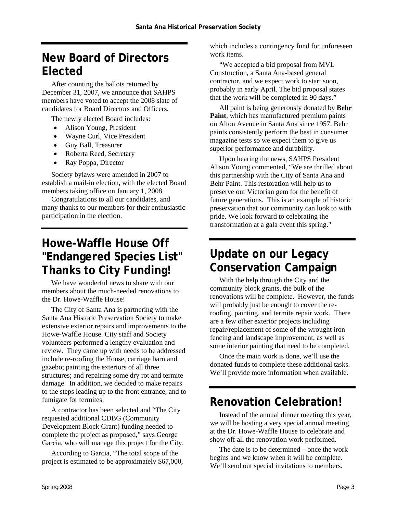# **New Board of Directors Elected**

After counting the ballots returned by December 31, 2007, we announce that SAHPS members have voted to accept the 2008 slate of candidates for Board Directors and Officers.

The newly elected Board includes:

- Alison Young, President
- Wayne Curl, Vice President
- Guy Ball, Treasurer
- Roberta Reed, Secretary
- Ray Poppa, Director

Society bylaws were amended in 2007 to establish a mail-in election, with the elected Board members taking office on January 1, 2008.

Congratulations to all our candidates, and many thanks to our members for their enthusiastic participation in the election.

# **Howe-Waffle House Off "Endangered Species List" Thanks to City Funding!**

We have wonderful news to share with our members about the much-needed renovations to the Dr. Howe-Waffle House!

The City of Santa Ana is partnering with the Santa Ana Historic Preservation Society to make extensive exterior repairs and improvements to the Howe-Waffle House. City staff and Society volunteers performed a lengthy evaluation and review. They came up with needs to be addressed include re-roofing the House, carriage barn and gazebo; painting the exteriors of all three structures; and repairing some dry rot and termite damage. In addition, we decided to make repairs to the steps leading up to the front entrance, and to fumigate for termites.

A contractor has been selected and "The City requested additional CDBG (Community Development Block Grant) funding needed to complete the project as proposed," says George Garcia, who will manage this project for the City.

According to Garcia, "The total scope of the project is estimated to be approximately \$67,000, which includes a contingency fund for unforeseen work items.

"We accepted a bid proposal from MVL Construction, a Santa Ana-based general contractor, and we expect work to start soon, probably in early April. The bid proposal states that the work will be completed in 90 days."

All paint is being generously donated by **Behr Paint**, which has manufactured premium paints on Alton Avenue in Santa Ana since 1957. Behr paints consistently perform the best in consumer magazine tests so we expect them to give us superior performance and durability.

Upon hearing the news, SAHPS President Alison Young commented, "We are thrilled about this partnership with the City of Santa Ana and Behr Paint. This restoration will help us to preserve our Victorian gem for the benefit of future generations. This is an example of historic preservation that our community can look to with pride. We look forward to celebrating the transformation at a gala event this spring."

# **Update on our Legacy Conservation Campaign**

With the help through the City and the community block grants, the bulk of the renovations will be complete. However, the funds will probably just be enough to cover the reroofing, painting, and termite repair work. There are a few other exterior projects including repair/replacement of some of the wrought iron fencing and landscape improvement, as well as some interior painting that need to be completed.

Once the main work is done, we'll use the donated funds to complete these additional tasks. We'll provide more information when available.

# **Renovation Celebration!**

Instead of the annual dinner meeting this year, we will be hosting a very special annual meeting at the Dr. Howe-Waffle House to celebrate and show off all the renovation work performed.

The date is to be determined – once the work begins and we know when it will be complete. We'll send out special invitations to members.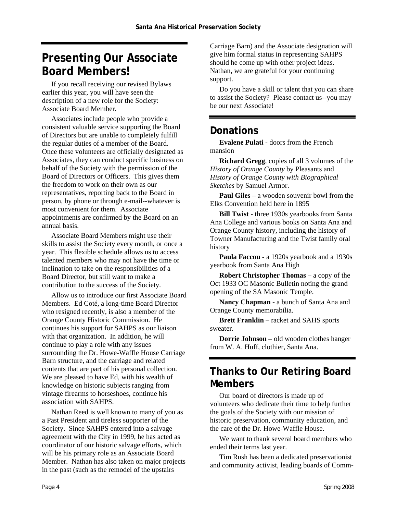# **Presenting Our Associate Board Members!**

If you recall receiving our revised Bylaws earlier this year, you will have seen the description of a new role for the Society: Associate Board Member.

Associates include people who provide a consistent valuable service supporting the Board of Directors but are unable to completely fulfill the regular duties of a member of the Board. Once these volunteers are officially designated as Associates, they can conduct specific business on behalf of the Society with the permission of the Board of Directors or Officers. This gives them the freedom to work on their own as our representatives, reporting back to the Board in person, by phone or through e-mail--whatever is most convenient for them. Associate appointments are confirmed by the Board on an annual basis.

Associate Board Members might use their skills to assist the Society every month, or once a year. This flexible schedule allows us to access talented members who may not have the time or inclination to take on the responsibilities of a Board Director, but still want to make a contribution to the success of the Society.

Allow us to introduce our first Associate Board Members. Ed Coté, a long-time Board Director who resigned recently, is also a member of the Orange County Historic Commission. He continues his support for SAHPS as our liaison with that organization. In addition, he will continue to play a role with any issues surrounding the Dr. Howe-Waffle House Carriage Barn structure, and the carriage and related contents that are part of his personal collection. We are pleased to have Ed, with his wealth of knowledge on historic subjects ranging from vintage firearms to horseshoes, continue his association with SAHPS.

Nathan Reed is well known to many of you as a Past President and tireless supporter of the Society. Since SAHPS entered into a salvage agreement with the City in 1999, he has acted as coordinator of our historic salvage efforts, which will be his primary role as an Associate Board Member. Nathan has also taken on major projects in the past (such as the remodel of the upstairs

Carriage Barn) and the Associate designation will give him formal status in representing SAHPS should he come up with other project ideas. Nathan, we are grateful for your continuing support.

Do you have a skill or talent that you can share to assist the Society? Please contact us--you may be our next Associate!

#### **Donations**

**Evalene Pulati** - doors from the French mansion

**Richard Gregg**, copies of all 3 volumes of the *History of Orange County* by Pleasants and *History of Orange County with Biographical Sketches* by Samuel Armor.

**Paul Giles** – a wooden souvenir bowl from the Elks Convention held here in 1895

**Bill Twist** - three 1930s yearbooks from Santa Ana College and various books on Santa Ana and Orange County history, including the history of Towner Manufacturing and the Twist family oral history

**Paula Faccou** - a 1920s yearbook and a 1930s yearbook from Santa Ana High

**Robert Christopher Thomas** – a copy of the Oct 1933 OC Masonic Bulletin noting the grand opening of the SA Masonic Temple.

**Nancy Chapman** - a bunch of Santa Ana and Orange County memorabilia.

**Brett Franklin** – racket and SAHS sports sweater.

**Dorrie Johnson** – old wooden clothes hanger from W. A. Huff, clothier, Santa Ana.

### **Thanks to Our Retiring Board Members**

Our board of directors is made up of volunteers who dedicate their time to help further the goals of the Society with our mission of historic preservation, community education, and the care of the Dr. Howe-Waffle House.

We want to thank several board members who ended their terms last year.

Tim Rush has been a dedicated preservationist and community activist, leading boards of Comm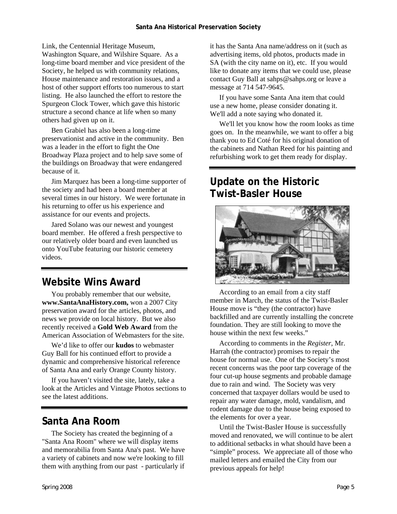Link, the Centennial Heritage Museum, Washington Square, and Wilshire Square. As a long-time board member and vice president of the Society, he helped us with community relations, House maintenance and restoration issues, and a host of other support efforts too numerous to start listing. He also launched the effort to restore the Spurgeon Clock Tower, which gave this historic structure a second chance at life when so many others had given up on it.

Ben Grabiel has also been a long-time preservationist and active in the community. Ben was a leader in the effort to fight the One Broadway Plaza project and to help save some of the buildings on Broadway that were endangered because of it.

Jim Marquez has been a long-time supporter of the society and had been a board member at several times in our history. We were fortunate in his returning to offer us his experience and assistance for our events and projects.

Jared Solano was our newest and youngest board member. He offered a fresh perspective to our relatively older board and even launched us onto YouTube featuring our historic cemetery videos.

## **Website Wins Award**

You probably remember that our website, **www.SantaAnaHistory.com,** won a 2007 City preservation award for the articles, photos, and news we provide on local history. But we also recently received a **Gold Web Award** from the American Association of Webmasters for the site.

We'd like to offer our **kudos** to webmaster Guy Ball for his continued effort to provide a dynamic and comprehensive historical reference of Santa Ana and early Orange County history.

If you haven't visited the site, lately, take a look at the Articles and Vintage Photos sections to see the latest additions.

### **Santa Ana Room**

The Society has created the beginning of a "Santa Ana Room" where we will display items and memorabilia from Santa Ana's past. We have a variety of cabinets and now we're looking to fill them with anything from our past - particularly if

it has the Santa Ana name/address on it (such as advertising items, old photos, products made in SA (with the city name on it), etc. If you would like to donate any items that we could use, please contact Guy Ball at sahps@sahps.org or leave a message at 714 547-9645.

If you have some Santa Ana item that could use a new home, please consider donating it. We'll add a note saying who donated it.

We'll let you know how the room looks as time goes on. In the meanwhile, we want to offer a big thank you to Ed Coté for his original donation of the cabinets and Nathan Reed for his painting and refurbishing work to get them ready for display.

## **Update on the Historic Twist-Basler House**



According to an email from a city staff member in March, the status of the Twist-Basler House move is "they (the contractor) have backfilled and are currently installing the concrete foundation. They are still looking to move the house within the next few weeks."

According to comments in the *Register*, Mr. Harrah (the contractor) promises to repair the house for normal use. One of the Society's most recent concerns was the poor tarp coverage of the four cut-up house segments and probable damage due to rain and wind. The Society was very concerned that taxpayer dollars would be used to repair any water damage, mold, vandalism, and rodent damage due to the house being exposed to the elements for over a year.

Until the Twist-Basler House is successfully moved and renovated, we will continue to be alert to additional setbacks in what should have been a "simple" process. We appreciate all of those who mailed letters and emailed the City from our previous appeals for help!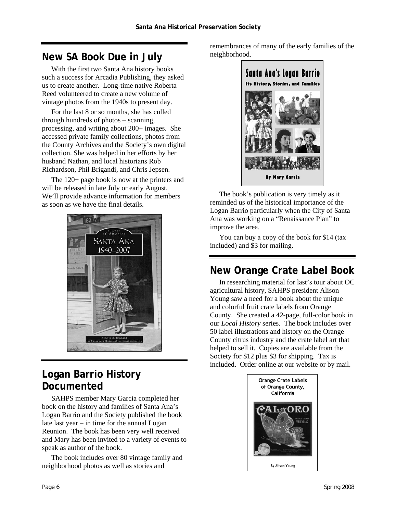#### **New SA Book Due in July**

With the first two Santa Ana history books such a success for Arcadia Publishing, they asked us to create another. Long-time native Roberta Reed volunteered to create a new volume of vintage photos from the 1940s to present day.

For the last 8 or so months, she has culled through hundreds of photos – scanning, processing, and writing about 200+ images. She accessed private family collections, photos from the County Archives and the Society's own digital collection. She was helped in her efforts by her husband Nathan, and local historians Rob Richardson, Phil Brigandi, and Chris Jepsen.

The 120+ page book is now at the printers and will be released in late July or early August. We'll provide advance information for members as soon as we have the final details.



## **Logan Barrio History Documented**

SAHPS member Mary Garcia completed her book on the history and families of Santa Ana's Logan Barrio and the Society published the book late last year – in time for the annual Logan Reunion. The book has been very well received and Mary has been invited to a variety of events to speak as author of the book.

The book includes over 80 vintage family and neighborhood photos as well as stories and

remembrances of many of the early families of the neighborhood.



The book's publication is very timely as it reminded us of the historical importance of the Logan Barrio particularly when the City of Santa Ana was working on a "Renaissance Plan" to improve the area.

You can buy a copy of the book for \$14 (tax included) and \$3 for mailing.

## **New Orange Crate Label Book**

In researching material for last's tour about OC agricultural history, SAHPS president Alison Young saw a need for a book about the unique and colorful fruit crate labels from Orange County. She created a 42-page, full-color book in our *Local History* series. The book includes over 50 label illustrations and history on the Orange County citrus industry and the crate label art that helped to sell it. Copies are available from the Society for \$12 plus \$3 for shipping. Tax is included. Order online at our website or by mail.

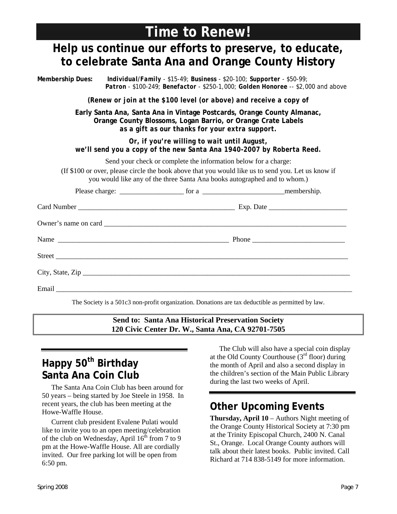# **Time to Renew!**

# **Help us continue our efforts to preserve, to educate, to celebrate Santa Ana and Orange County History**

**Membership Dues:** *Individual/Family - \$15-49; Business - \$20-100; Supporter - \$50-99; Patron - \$100-249; Benefactor - \$250-1,000; Golden Honoree -- \$2,000 and above (Renew or join at the \$100 level (or above) and receive a copy of*  **Early Santa Ana, Santa Ana in Vintage Postcards, Orange County Almanac, Orange County Blossoms, Logan Barrio, or Orange Crate Labels** *as a gift as our thanks for your extra support. Or, if you're willing to wait until August, we'll send you a copy of the new Santa Ana 1940-2007 by Roberta Reed.*  Send your check or complete the information below for a charge: (If \$100 or over, please circle the book above that you would like us to send you. Let us know if you would like any of the three Santa Ana books autographed and to whom.) Please charge: \_\_\_\_\_\_\_\_\_\_\_\_\_\_\_\_\_\_ for a \_\_\_\_\_\_\_\_\_\_\_\_\_\_\_\_\_\_\_\_\_\_\_membership. Card Number \_\_\_\_\_\_\_\_\_\_\_\_\_\_\_\_\_\_\_\_\_\_\_\_\_\_\_\_\_\_\_\_\_\_\_\_\_\_\_\_\_\_\_\_ Exp. Date \_\_\_\_\_\_\_\_\_\_\_\_\_\_\_\_\_\_\_\_\_\_ Owner's name on card Name Thone Street \_\_\_\_\_\_\_\_\_\_\_\_\_\_\_\_\_\_\_\_\_\_\_\_\_\_\_\_\_\_\_\_\_\_\_\_\_\_\_\_\_\_\_\_\_\_\_\_\_\_\_\_\_\_\_\_\_\_\_\_\_\_\_\_\_\_\_\_\_\_\_\_\_\_\_\_\_\_\_\_\_\_  $City, State, Zip$ Email  $\Box$ The Society is a 501c3 non-profit organization. Donations are tax deductible as permitted by law.

> **Send to: Santa Ana Historical Preservation Society 120 Civic Center Dr. W., Santa Ana, CA 92701-7505**

# **Happy 50<sup>th</sup> Birthday Santa Ana Coin Club**

The Santa Ana Coin Club has been around for 50 years – being started by Joe Steele in 1958. In recent years, the club has been meeting at the Howe-Waffle House.

Current club president Evalene Pulati would like to invite you to an open meeting/celebration of the club on Wednesday, April  $16^{th}$  from 7 to 9 pm at the Howe-Waffle House. All are cordially invited. Our free parking lot will be open from 6:50 pm.

The Club will also have a special coin display at the Old County Courthouse  $(3<sup>rd</sup>$  floor) during the month of April and also a second display in the children's section of the Main Public Library during the last two weeks of April.

## **Other Upcoming Events**

**Thursday, April 10** – Authors Night meeting of the Orange County Historical Society at 7:30 pm at the Trinity Episcopal Church, 2400 N. Canal St., Orange. Local Orange County authors will talk about their latest books. Public invited. Call Richard at 714 838-5149 for more information.